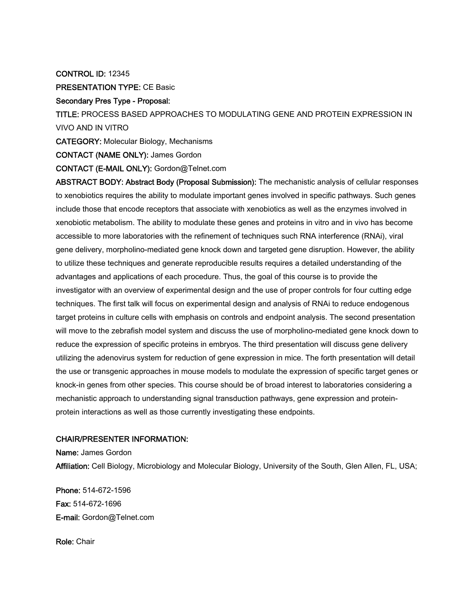CONTROL ID: 12345

PRESENTATION TYPE: CE Basic

## Secondary Pres Type - Proposal:

TITLE: PROCESS BASED APPROACHES TO MODULATING GENE AND PROTEIN EXPRESSION IN VIVO AND IN VITRO

CATEGORY: Molecular Biology, Mechanisms

CONTACT (NAME ONLY): James Gordon

CONTACT (E-MAIL ONLY): Gordon@Telnet.com

ABSTRACT BODY: Abstract Body (Proposal Submission): The mechanistic analysis of cellular responses to xenobiotics requires the ability to modulate important genes involved in specific pathways. Such genes include those that encode receptors that associate with xenobiotics as well as the enzymes involved in xenobiotic metabolism. The ability to modulate these genes and proteins in vitro and in vivo has become accessible to more laboratories with the refinement of techniques such RNA interference (RNAi), viral gene delivery, morpholino-mediated gene knock down and targeted gene disruption. However, the ability to utilize these techniques and generate reproducible results requires a detailed understanding of the advantages and applications of each procedure. Thus, the goal of this course is to provide the investigator with an overview of experimental design and the use of proper controls for four cutting edge techniques. The first talk will focus on experimental design and analysis of RNAi to reduce endogenous target proteins in culture cells with emphasis on controls and endpoint analysis. The second presentation will move to the zebrafish model system and discuss the use of morpholino-mediated gene knock down to reduce the expression of specific proteins in embryos. The third presentation will discuss gene delivery utilizing the adenovirus system for reduction of gene expression in mice. The forth presentation will detail the use or transgenic approaches in mouse models to modulate the expression of specific target genes or knock-in genes from other species. This course should be of broad interest to laboratories considering a mechanistic approach to understanding signal transduction pathways, gene expression and proteinprotein interactions as well as those currently investigating these endpoints.

## CHAIR/PRESENTER INFORMATION:

Name: James Gordon Affiliation: Cell Biology, Microbiology and Molecular Biology, University of the South, Glen Allen, FL, USA;

Phone: 514-672-1596 Fax: 514-672-1696 E-mail: Gordon@Telnet.com

Role: Chair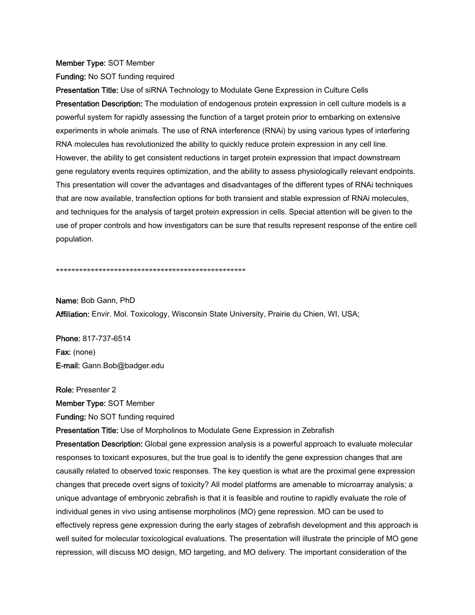## Member Type: SOT Member

Funding: No SOT funding required

Presentation Title: Use of siRNA Technology to Modulate Gene Expression in Culture Cells Presentation Description: The modulation of endogenous protein expression in cell culture models is a powerful system for rapidly assessing the function of a target protein prior to embarking on extensive experiments in whole animals. The use of RNA interference (RNAi) by using various types of interfering RNA molecules has revolutionized the ability to quickly reduce protein expression in any cell line. However, the ability to get consistent reductions in target protein expression that impact downstream gene regulatory events requires optimization, and the ability to assess physiologically relevant endpoints. This presentation will cover the advantages and disadvantages of the different types of RNAi techniques that are now available, transfection options for both transient and stable expression of RNAi molecules, and techniques for the analysis of target protein expression in cells. Special attention will be given to the use of proper controls and how investigators can be sure that results represent response of the entire cell population.

\*\*\*\*\*\*\*\*\*\*\*\*\*\*\*\*\*\*\*\*\*\*\*\*\*\*\*\*\*\*\*\*\*\*\*\*\*\*\*\*\*\*\*\*\*\*\*\*\*

Name: Bob Gann, PhD Affiliation: Envir. Mol. Toxicology, Wisconsin State University, Prairie du Chien, WI, USA;

Phone: 817-737-6514 Fax: (none) E-mail: Gann.Bob@badger.edu

Role: Presenter 2 Member Type: SOT Member Funding: No SOT funding required

Presentation Title: Use of Morpholinos to Modulate Gene Expression in Zebrafish

Presentation Description: Global gene expression analysis is a powerful approach to evaluate molecular responses to toxicant exposures, but the true goal is to identify the gene expression changes that are causally related to observed toxic responses. The key question is what are the proximal gene expression changes that precede overt signs of toxicity? All model platforms are amenable to microarray analysis; a unique advantage of embryonic zebrafish is that it is feasible and routine to rapidly evaluate the role of individual genes in vivo using antisense morpholinos (MO) gene repression. MO can be used to effectively repress gene expression during the early stages of zebrafish development and this approach is well suited for molecular toxicological evaluations. The presentation will illustrate the principle of MO gene repression, will discuss MO design, MO targeting, and MO delivery. The important consideration of the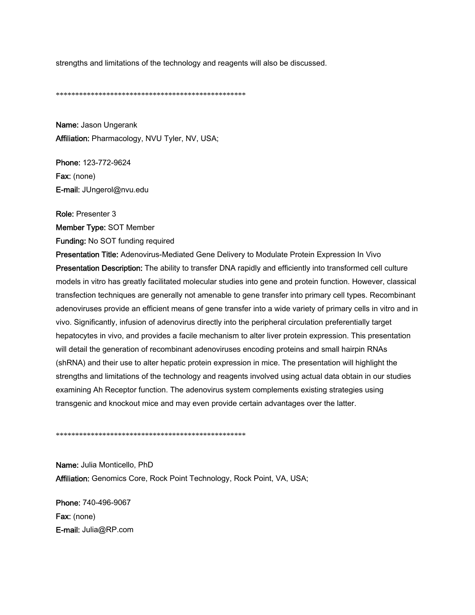strengths and limitations of the technology and reagents will also be discussed.

\*\*\*\*\*\*\*\*\*\*\*\*\*\*\*\*\*\*\*\*\*\*\*\*\*\*\*\*\*\*\*\*\*\*\*\*\*\*\*\*\*\*\*\*\*\*\*\*\*

Name: Jason Ungerank Affiliation: Pharmacology, NVU Tyler, NV, USA;

Phone: 123-772-9624 Fax: (none) E-mail: JUngerol@nvu.edu

Role: Presenter 3

Member Type: SOT Member

Funding: No SOT funding required

Presentation Title: Adenovirus-Mediated Gene Delivery to Modulate Protein Expression In Vivo Presentation Description: The ability to transfer DNA rapidly and efficiently into transformed cell culture models in vitro has greatly facilitated molecular studies into gene and protein function. However, classical transfection techniques are generally not amenable to gene transfer into primary cell types. Recombinant adenoviruses provide an efficient means of gene transfer into a wide variety of primary cells in vitro and in vivo. Significantly, infusion of adenovirus directly into the peripheral circulation preferentially target hepatocytes in vivo, and provides a facile mechanism to alter liver protein expression. This presentation will detail the generation of recombinant adenoviruses encoding proteins and small hairpin RNAs (shRNA) and their use to alter hepatic protein expression in mice. The presentation will highlight the strengths and limitations of the technology and reagents involved using actual data obtain in our studies examining Ah Receptor function. The adenovirus system complements existing strategies using transgenic and knockout mice and may even provide certain advantages over the latter.

\*\*\*\*\*\*\*\*\*\*\*\*\*\*\*\*\*\*\*\*\*\*\*\*\*\*\*\*\*\*\*\*\*\*\*\*\*\*\*\*\*\*\*\*\*\*\*\*\*

Name: Julia Monticello, PhD Affiliation: Genomics Core, Rock Point Technology, Rock Point, VA, USA;

Phone: 740-496-9067 Fax: (none) E-mail: Julia@RP.com